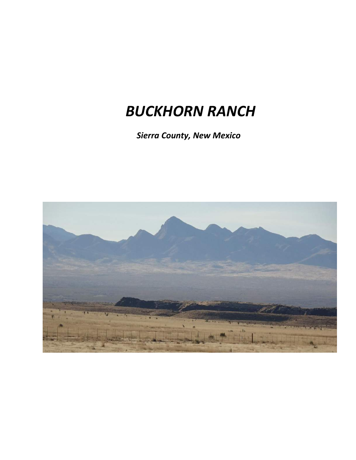# *BUCKHORN RANCH*

 *Sierra County, New Mexico*

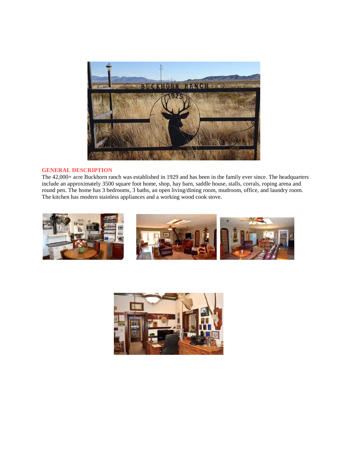

### **GENERAL DESCRIPTION**

The 42,000+ acre Buckhorn ranch was established in 1929 and has been in the family ever since. The headquarters include an approximately 3500 square foot home, shop, hay barn, saddle house, stalls, corrals, roping arena and round pen. The home has 3 bedrooms, 3 baths, an open living/dining room, mudroom, office, and laundry room. The kitchen has modern stainless appliances and a working wood cook stove.



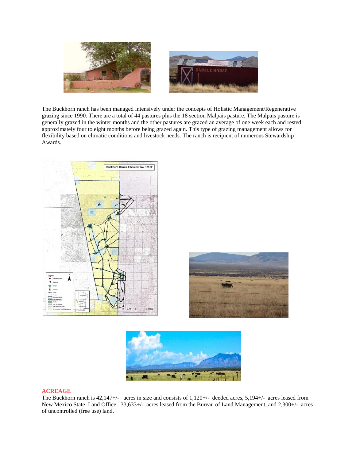

The Buckhorn ranch has been managed intensively under the concepts of Holistic Management/Regenerative grazing since 1990. There are a total of 44 pastures plus the 18 section Malpais pasture. The Malpais pasture is generally grazed in the winter months and the other pastures are grazed an average of one week each and rested approximately four to eight months before being grazed again. This type of grazing management allows for flexibility based on climatic conditions and livestock needs. The ranch is recipient of numerous Stewardship Awards.





#### **ACREAGE**

The Buckhorn ranch is 42,147+/- acres in size and consists of 1,120+/- deeded acres, 5,194+/- acres leased from New Mexico State Land Office, 33,633+/- acres leased from the Bureau of Land Management, and 2,300+/- acres of uncontrolled (free use) land.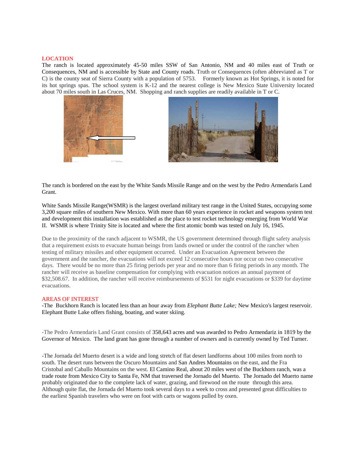#### **LOCATION**

The ranch is located approximately 45-50 miles SSW of San Antonio, NM and 40 miles east of Truth or Consequences, NM and is accessible by State and County roads. Truth or Consequences (often abbreviated as T or C) is the county seat of Sierra County with a population of 5753. Formerly known as Hot Springs, it is noted for its hot springs spas. The school system is K-12 and the nearest college is New Mexico State University located about 70 miles south in Las Cruces, NM. Shopping and ranch supplies are readily available in T or C.





The ranch is bordered on the east by the White Sands Missile Range and on the west by the Pedro Armendaris Land Grant.

White Sands Missile Range(WSMR) is the largest overland military test range in the United States, occupying some 3,200 square miles of southern New Mexico. With more than 60 years experience in rocket and weapons system test and development this installation was established as the place to test rocket technology emerging from World War II. WSMR is where Trinity Site is located and where the first atomic bomb was tested on July 16, 1945.

Due to the proximity of the ranch adjacent to WSMR, the US government determined through flight safety analysis that a requirement exists to evacuate human beings from lands owned or under the control of the rancher when testing of military missiles and other equipment occurred. Under an Evacuation Agreement between the government and the rancher, the evacuations will not exceed 12 consecutive hours nor occur on two consecutive days. There would be no more than 25 firing periods per year and no more than 6 firing periods in any month. The rancher will receive as baseline compensation for complying with evacuation notices an annual payment of \$32,508.67. In addition, the rancher will receive reimbursements of \$531 for night evacuations or \$339 for daytime evacuations.

#### AREAS OF INTEREST

-The Buckhorn Ranch is located less than an hour away from *Elephant Butte Lake;* New Mexico's largest reservoir. Elephant Butte Lake offers fishing, boating, and water skiing.

-The Pedro Armendaris Land Grant consists of 358,643 acres and was awarded to Pedro Armendariz in 1819 by the Governor of Mexico. The land grant has gone through a number of owners and is currently owned by Ted Turner.

-The Jornada del Muerto desert is a wide and long stretch of flat desert landforms about 100 miles from north to south. The desert runs between the Oscuro Mountains and San Andres Mountains on the east, and the Fra Cristobal and Caballo Mountains on the west. El Camino Real, about 20 miles west of the Buckhorn ranch, was a trade route from Mexico City to Santa Fe, NM that traversed the Jornado del Muerto. The Jornado del Muerto name probably originated due to the complete lack of water, grazing, and firewood on the route through this area. Although quite flat, the Jornada del Muerto took several days to a week to cross and presented great difficulties to the earliest Spanish travelers who were on foot with carts or wagons pulled by oxen.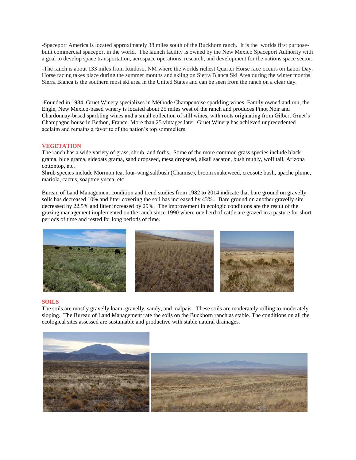-Spaceport America is located approximately 38 miles south of the Buckhorn ranch. It is the worlds first purposebuilt commercial spaceport in the world. The launch facility is owned by the New Mexico Spaceport Authority with a goal to develop space transportation, aerospace operations, research, and development for the nations space sector.

-The ranch is about 133 miles from Ruidoso, NM where the worlds richest Quarter Horse race occurs on Labor Day. Horse racing takes place during the summer months and skiing on Sierra Blanca Ski Area during the winter months. Sierra Blanca is the southern most ski area in the United States and can be seen from the ranch on a clear day.

-Founded in 1984, Gruet Winery specializes in Méthode Champenoise sparkling wines. Family owned and run, the Engle, New Mexico-based winery is located about 25 miles west of the ranch and produces Pinot Noir and Chardonnay-based sparkling wines and a small collection of still wines, with roots originating from Gilbert Gruet's Champagne house in Bethon, France. More than 25 vintages later, Gruet Winery has achieved unprecedented acclaim and remains a favorite of the nation's top sommeliers.

#### **VEGETATION**

The ranch has a wide variety of grass, shrub, and forbs. Some of the more common grass species include black grama, blue grama, sideoats grama, sand dropseed, mesa dropseed, alkali sacaton, bush muhly, wolf tail, Arizona cottontop, etc.

Shrub species include Mormon tea, four-wing saltbush (Chamise), broom snakeweed, creosote bush, apache plume, mariola, cactus, soaptree yucca, etc.

Bureau of Land Management condition and trend studies from 1982 to 2014 indicate that bare ground on gravelly soils has decreased 10% and litter covering the soil has increased by 43%.. Bare ground on another gravelly site decreased by 22.5% and litter increased by 29%. The improvement in ecologic conditions are the result of the grazing management implemented on the ranch since 1990 where one herd of cattle are grazed in a pasture for short periods of time and rested for long periods of time.



#### **SOILS**

The soils are mostly gravelly loam, gravelly, sandy, and malpais. These soils are moderately rolling to moderately sloping. The Bureau of Land Management rate the soils on the Buckhorn ranch as stable. The conditions on all the ecological sites assessed are sustainable and productive with stable natural drainages.

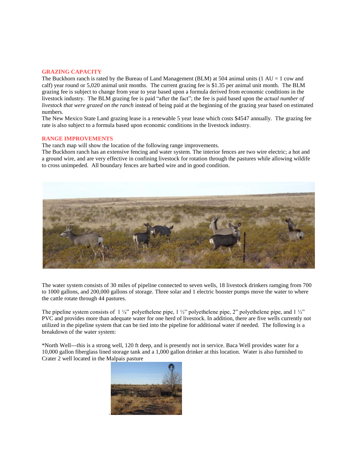#### **GRAZING CAPACITY**

The Buckhorn ranch is rated by the Bureau of Land Management (BLM) at 504 animal units (1  $AU = 1$  cow and calf) year round or 5,020 animal unit months. The current grazing fee is \$1.35 per animal unit month. The BLM grazing fee is subject to change from year to year based upon a formula derived from economic conditions in the livestock industry. The BLM grazing fee is paid "after the fact"; the fee is paid based upon the *actual number of livestock that were grazed on the ranch* instead of being paid at the beginning of the grazing year based on estimated numbers.

The New Mexico State Land grazing lease is a renewable 5 year lease which costs \$4547 annually. The grazing fee rate is also subject to a formula based upon economic conditions in the livestock industry.

#### **RANGE IMPROVEMENTS**

The ranch map will show the location of the following range improvements.

The Buckhorn ranch has an extensive fencing and water system. The interior fences are two wire electric; a hot and a ground wire, and are very effective in confining livestock for rotation through the pastures while allowing wildife to cross unimpeded. All boundary fences are barbed wire and in good condition.



The water system consists of 30 miles of pipeline connected to seven wells, 18 livestock drinkers ramging from 700 to 1000 gallons, and 200,000 gallons of storage. Three solar and 1 electric booster pumps move the water to where the cattle rotate through 44 pastures.

The pipeline system consists of  $1 \frac{1}{4}$ " polyethelene pipe,  $1 \frac{1}{2}$ " polyethelene pipe, 2" polyethelene pipe, and  $1 \frac{1}{2}$ " PVC and provides more than adequate water for one herd of livestock. In addition, there are five wells currently not utilized in the pipeline system that can be tied into the pipeline for additional water if needed. The following is a breakdown of the water system:

\*North Well---this is a strong well, 120 ft deep, and is presently not in service. Baca Well provides water for a 10,000 gallon fiberglass lined storage tank and a 1,000 gallon drinker at this location. Water is also furnished to Crater 2 well located in the Malpais pasture

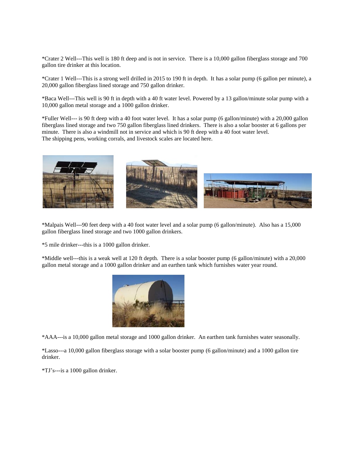\*Crater 2 Well---This well is 180 ft deep and is not in service. There is a 10,000 gallon fiberglass storage and 700 gallon tire drinker at this location.

\*Crater 1 Well---This is a strong well drilled in 2015 to 190 ft in depth. It has a solar pump (6 gallon per minute), a 20,000 gallon fiberglass lined storage and 750 gallon drinker.

\*Baca Well---This well is 90 ft in depth with a 40 ft water level. Powered by a 13 gallon/minute solar pump with a 10,000 gallon metal storage and a 1000 gallon drinker.

\*Fuller Well--- is 90 ft deep with a 40 foot water level. It has a solar pump (6 gallon/minute) with a 20,000 gallon fiberglass lined storage and two 750 gallon fiberglass lined drinkers. There is also a solar booster at 6 gallons per minute. There is also a windmill not in service and which is 90 ft deep with a 40 foot water level. The shipping pens, working corrals, and livestock scales are located here.



\*Malpais Well---90 feet deep with a 40 foot water level and a solar pump (6 gallon/minute). Also has a 15,000 gallon fiberglass lined storage and two 1000 gallon drinkers.

\*5 mile drinker---this is a 1000 gallon drinker.

\*Middle well---this is a weak well at 120 ft depth. There is a solar booster pump (6 gallon/minute) with a 20,000 gallon metal storage and a 1000 gallon drinker and an earthen tank which furnishes water year round.



\*AAA---is a 10,000 gallon metal storage and 1000 gallon drinker. An earthen tank furnishes water seasonally.

\*Lasso---a 10,000 gallon fiberglass storage with a solar booster pump (6 gallon/minute) and a 1000 gallon tire drinker.

\*TJ's---is a 1000 gallon drinker.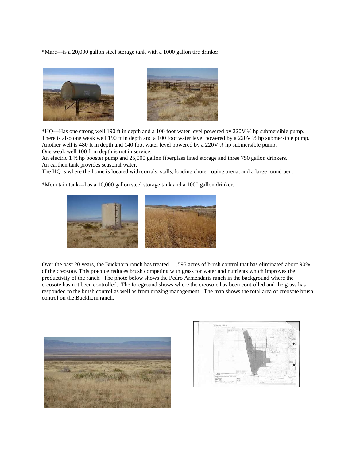\*Mare---is a 20,000 gallon steel storage tank with a 1000 gallon tire drinker





\*HQ---Has one strong well 190 ft in depth and a 100 foot water level powered by 220V ½ hp submersible pump. There is also one weak well 190 ft in depth and a 100 foot water level powered by a 220V ½ hp submersible pump. Another well is 480 ft in depth and 140 foot water level powered by a 220V ¾ hp submersible pump. One weak well 100 ft in depth is not in service.

An electric 1 ½ hp booster pump and 25,000 gallon fiberglass lined storage and three 750 gallon drinkers. An earthen tank provides seasonal water.

The HQ is where the home is located with corrals, stalls, loading chute, roping arena, and a large round pen.

\*Mountain tank---has a 10,000 gallon steel storage tank and a 1000 gallon drinker.



Over the past 20 years, the Buckhorn ranch has treated 11,595 acres of brush control that has eliminated about 90% of the creosote. This practice reduces brush competing with grass for water and nutrients which improves the productivity of the ranch. The photo below shows the Pedro Armendaris ranch in the background where the creosote has not been controlled. The foreground shows where the creosote has been controlled and the grass has responded to the brush control as well as from grazing management. The map shows the total area of creosote brush control on the Buckhorn ranch.



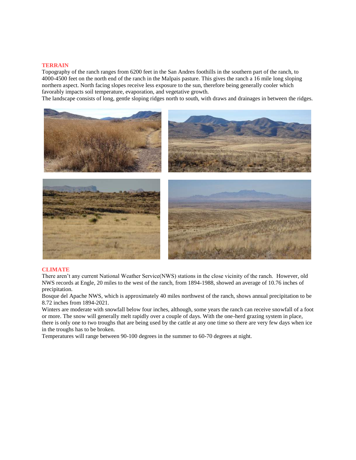#### **TERRAIN**

Topography of the ranch ranges from 6200 feet in the San Andres foothills in the southern part of the ranch, to 4000-4500 feet on the north end of the ranch in the Malpais pasture. This gives the ranch a 16 mile long sloping northern aspect. North facing slopes receive less exposure to the sun, therefore being generally cooler which favorably impacts soil temperature, evaporation, and vegetative growth.

The landscape consists of long, gentle sloping ridges north to south, with draws and drainages in between the ridges.



#### **CLIMATE**

There aren't any current National Weather Service(NWS) stations in the close vicinity of the ranch. However, old NWS records at Engle, 20 miles to the west of the ranch, from 1894-1988, showed an average of 10.76 inches of precipitation.

Bosque del Apache NWS, which is approximately 40 miles northwest of the ranch, shows annual precipitation to be 8.72 inches from 1894-2021.

Winters are moderate with snowfall below four inches, although, some years the ranch can receive snowfall of a foot or more. The snow will generally melt rapidly over a couple of days. With the one-herd grazing system in place, there is only one to two troughs that are being used by the cattle at any one time so there are very few days when ice in the troughs has to be broken.

Temperatures will range between 90-100 degrees in the summer to 60-70 degrees at night.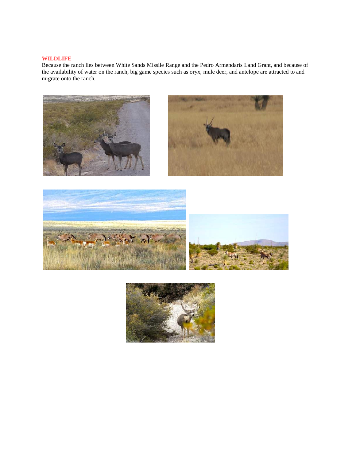## **WILDLIFE**

Because the ranch lies between White Sands Missile Range and the Pedro Armendaris Land Grant, and because of the availability of water on the ranch, big game species such as oryx, mule deer, and antelope are attracted to and migrate onto the ranch.





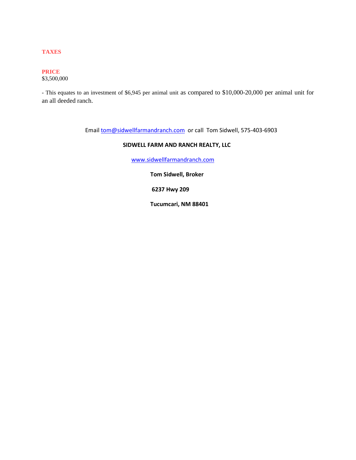## **TAXES**

# **PRICE**

\$3,500,000

- This equates to an investment of \$6,945 per animal unit as compared to \$10,000-20,000 per animal unit for an all deeded ranch.

Email **tom@sidwellfarmandranch.com** or call Tom Sidwell, 575-403-6903

# **SIDWELL FARM AND RANCH REALTY, LLC**

[www.sidwellfarmandranch.com](http://www.sidwellfarmandranch.com/)

 **Tom Sidwell, Broker**

 **6237 Hwy 209**

 **Tucumcari, NM 88401**